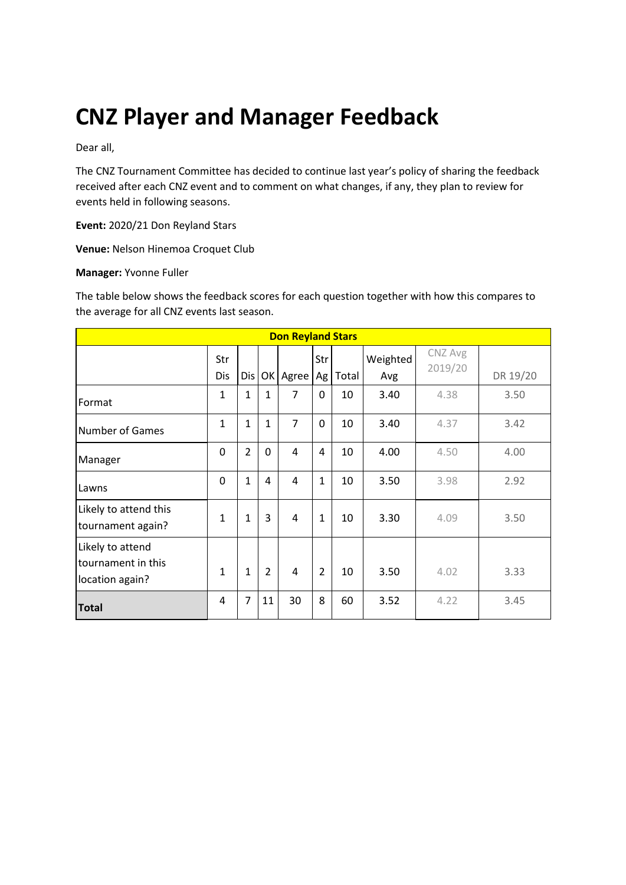# **CNZ Player and Manager Feedback**

Dear all,

The CNZ Tournament Committee has decided to continue last year's policy of sharing the feedback received after each CNZ event and to comment on what changes, if any, they plan to review for events held in following seasons.

**Event:** 2020/21 Don Reyland Stars

**Venue:** Nelson Hinemoa Croquet Club

#### **Manager:** Yvonne Fuller

The table below shows the feedback scores for each question together with how this compares to the average for all CNZ events last season.

| <b>Don Reyland Stars</b>                                  |              |                |                |                |                |       |                 |                    |          |
|-----------------------------------------------------------|--------------|----------------|----------------|----------------|----------------|-------|-----------------|--------------------|----------|
|                                                           | Str<br>Dis   | Dis            | OK             | Agree          | Str<br>Ag      | Total | Weighted<br>Avg | CNZ Avg<br>2019/20 | DR 19/20 |
| Format                                                    | 1            | 1              | 1              | $\overline{7}$ | 0              | 10    | 3.40            | 4.38               | 3.50     |
| <b>Number of Games</b>                                    | $\mathbf{1}$ | $\mathbf{1}$   | $\mathbf{1}$   | $\overline{7}$ | 0              | 10    | 3.40            | 4.37               | 3.42     |
| Manager                                                   | $\Omega$     | $\overline{2}$ | $\mathbf 0$    | 4              | 4              | 10    | 4.00            | 4.50               | 4.00     |
| Lawns                                                     | 0            | $\mathbf{1}$   | 4              | 4              | $\mathbf{1}$   | 10    | 3.50            | 3.98               | 2.92     |
| Likely to attend this<br>tournament again?                | $\mathbf{1}$ | $\mathbf{1}$   | 3              | 4              | $\mathbf{1}$   | 10    | 3.30            | 4.09               | 3.50     |
| Likely to attend<br>tournament in this<br>location again? | $\mathbf{1}$ | $\mathbf{1}$   | $\overline{2}$ | 4              | $\overline{2}$ | 10    | 3.50            | 4.02               | 3.33     |
| <b>Total</b>                                              | 4            | $\overline{7}$ | 11             | 30             | 8              | 60    | 3.52            | 4.22               | 3.45     |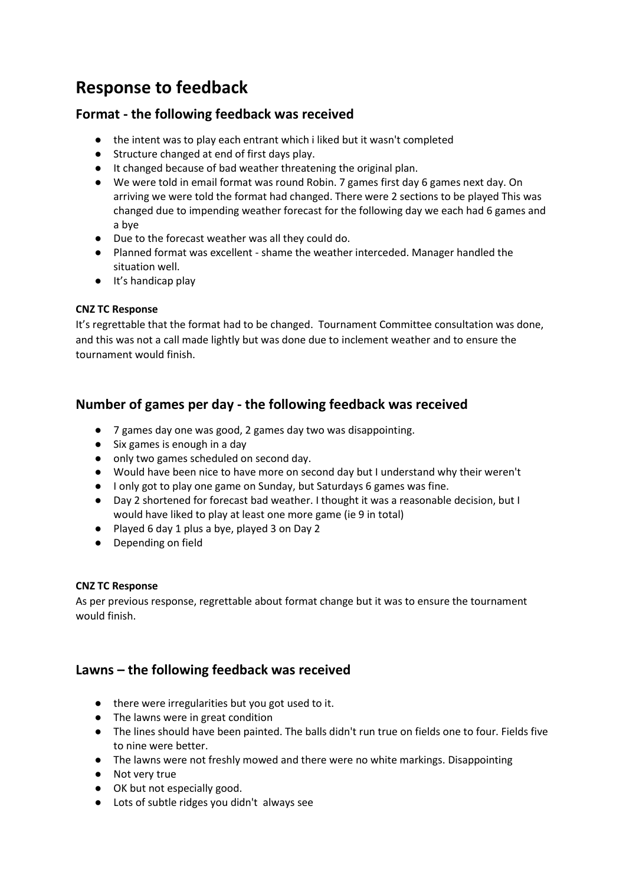# **Response to feedback**

# **Format - the following feedback was received**

- the intent was to play each entrant which i liked but it wasn't completed
- Structure changed at end of first days play.
- It changed because of bad weather threatening the original plan.
- We were told in email format was round Robin. 7 games first day 6 games next day. On arriving we were told the format had changed. There were 2 sections to be played This was changed due to impending weather forecast for the following day we each had 6 games and a bye
- Due to the forecast weather was all they could do.
- Planned format was excellent shame the weather interceded. Manager handled the situation well.
- It's handicap play

## **CNZ TC Response**

It's regrettable that the format had to be changed. Tournament Committee consultation was done, and this was not a call made lightly but was done due to inclement weather and to ensure the tournament would finish.

# **Number of games per day - the following feedback was received**

- 7 games day one was good, 2 games day two was disappointing.
- Six games is enough in a day
- only two games scheduled on second day.
- Would have been nice to have more on second day but I understand why their weren't
- I only got to play one game on Sunday, but Saturdays 6 games was fine.
- Day 2 shortened for forecast bad weather. I thought it was a reasonable decision, but I would have liked to play at least one more game (ie 9 in total)
- Played 6 day 1 plus a bye, played 3 on Day 2
- Depending on field

### **CNZ TC Response**

As per previous response, regrettable about format change but it was to ensure the tournament would finish.

# **Lawns – the following feedback was received**

- there were irregularities but you got used to it.
- The lawns were in great condition
- The lines should have been painted. The balls didn't run true on fields one to four. Fields five to nine were better.
- The lawns were not freshly mowed and there were no white markings. Disappointing
- Not very true
- OK but not especially good.
- Lots of subtle ridges you didn't always see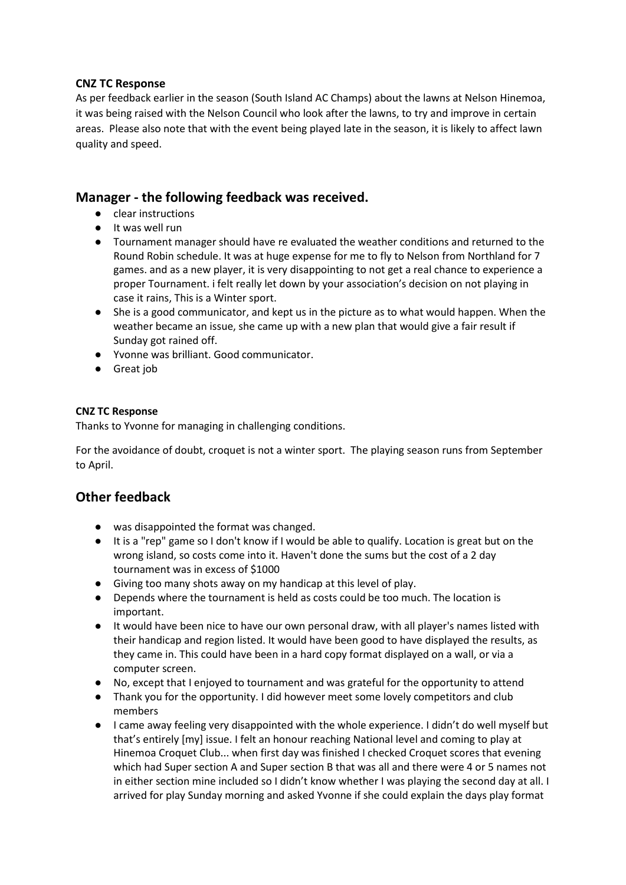### **CNZ TC Response**

As per feedback earlier in the season (South Island AC Champs) about the lawns at Nelson Hinemoa, it was being raised with the Nelson Council who look after the lawns, to try and improve in certain areas. Please also note that with the event being played late in the season, it is likely to affect lawn quality and speed.

# **Manager - the following feedback was received.**

- clear instructions
- It was well run
- Tournament manager should have re evaluated the weather conditions and returned to the Round Robin schedule. It was at huge expense for me to fly to Nelson from Northland for 7 games. and as a new player, it is very disappointing to not get a real chance to experience a proper Tournament. i felt really let down by your association's decision on not playing in case it rains, This is a Winter sport.
- She is a good communicator, and kept us in the picture as to what would happen. When the weather became an issue, she came up with a new plan that would give a fair result if Sunday got rained off.
- Yvonne was brilliant. Good communicator.
- Great job

#### **CNZ TC Response**

Thanks to Yvonne for managing in challenging conditions.

For the avoidance of doubt, croquet is not a winter sport. The playing season runs from September to April.

# **Other feedback**

- was disappointed the format was changed.
- It is a "rep" game so I don't know if I would be able to qualify. Location is great but on the wrong island, so costs come into it. Haven't done the sums but the cost of a 2 day tournament was in excess of \$1000
- Giving too many shots away on my handicap at this level of play.
- Depends where the tournament is held as costs could be too much. The location is important.
- It would have been nice to have our own personal draw, with all player's names listed with their handicap and region listed. It would have been good to have displayed the results, as they came in. This could have been in a hard copy format displayed on a wall, or via a computer screen.
- No, except that I enjoyed to tournament and was grateful for the opportunity to attend
- Thank you for the opportunity. I did however meet some lovely competitors and club members
- I came away feeling very disappointed with the whole experience. I didn't do well myself but that's entirely [my] issue. I felt an honour reaching National level and coming to play at Hinemoa Croquet Club... when first day was finished I checked Croquet scores that evening which had Super section A and Super section B that was all and there were 4 or 5 names not in either section mine included so I didn't know whether I was playing the second day at all. I arrived for play Sunday morning and asked Yvonne if she could explain the days play format